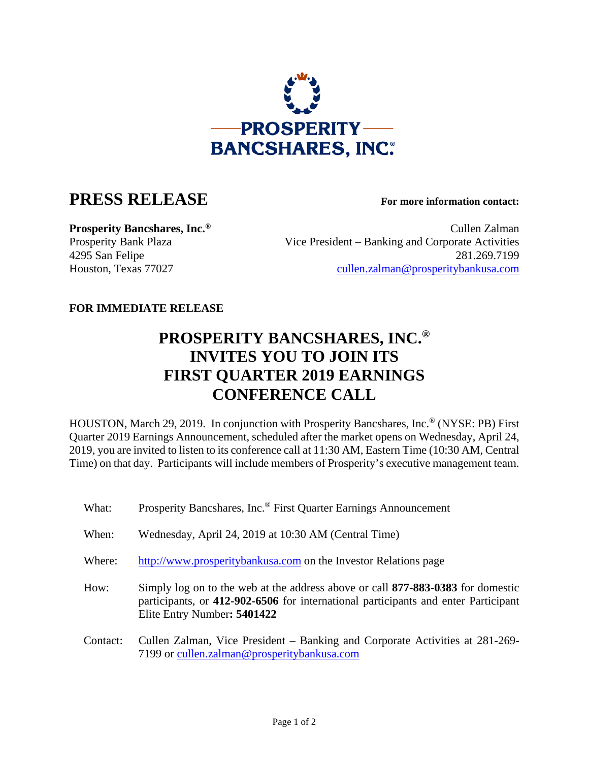

## **PRESS RELEASE For more information contact:**

**Prosperity Bancshares, Inc.<sup>®</sup> Cullen Zalman** Prosperity Bank Plaza Vice President – Banking and Corporate Activities 4295 San Felipe 281.269.7199 Houston, Texas 77027 cullen.zalman@prosperitybankusa.com

## **FOR IMMEDIATE RELEASE**

## **PROSPERITY BANCSHARES, INC.® INVITES YOU TO JOIN ITS FIRST QUARTER 2019 EARNINGS CONFERENCE CALL**

HOUSTON, March 29, 2019. In conjunction with Prosperity Bancshares, Inc.® (NYSE: PB) First Quarter 2019 Earnings Announcement, scheduled after the market opens on Wednesday, April 24, 2019, you are invited to listen to its conference call at 11:30 AM, Eastern Time (10:30 AM, Central Time) on that day. Participants will include members of Prosperity's executive management team.

| What:    | Prosperity Bancshares, Inc. <sup>®</sup> First Quarter Earnings Announcement                                                                                                                         |
|----------|------------------------------------------------------------------------------------------------------------------------------------------------------------------------------------------------------|
| When:    | Wednesday, April 24, 2019 at 10:30 AM (Central Time)                                                                                                                                                 |
| Where:   | http://www.prosperitybankusa.com on the Investor Relations page                                                                                                                                      |
| How:     | Simply log on to the web at the address above or call 877-883-0383 for domestic<br>participants, or 412-902-6506 for international participants and enter Participant<br>Elite Entry Number: 5401422 |
| Contact: | Cullen Zalman, Vice President – Banking and Corporate Activities at 281-269-<br>7199 or cullen.zalman@prosperitybankusa.com                                                                          |